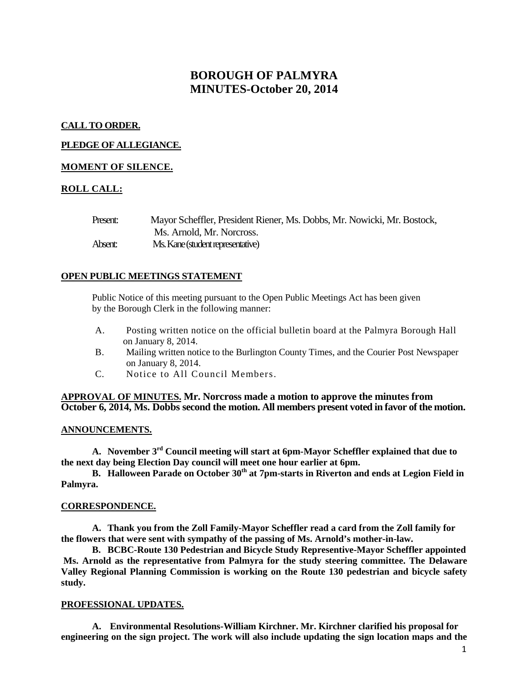# **BOROUGH OF PALMYRA MINUTES-October 20, 2014**

## **CALL TO ORDER.**

## **PLEDGE OF ALLEGIANCE.**

## **MOMENT OF SILENCE.**

## **ROLL CALL:**

| Present: | Mayor Scheffler, President Riener, Ms. Dobbs, Mr. Nowicki, Mr. Bostock, |
|----------|-------------------------------------------------------------------------|
|          | Ms. Arnold, Mr. Norcross.                                               |
| Absent:  | Ms. Kane (student representative)                                       |

### **OPEN PUBLIC MEETINGS STATEMENT**

Public Notice of this meeting pursuant to the Open Public Meetings Act has been given by the Borough Clerk in the following manner:

- A. Posting written notice on the official bulletin board at the Palmyra Borough Hall on January 8, 2014.
- B. Mailing written notice to the Burlington County Times, and the Courier Post Newspaper on January 8, 2014.
- C. Notice to All Council Members.

### **APPROVAL OF MINUTES. Mr. Norcross made a motion to approve the minutes from October 6, 2014, Ms. Dobbs second the motion. All members present voted in favor of the motion.**

## **ANNOUNCEMENTS.**

**A. November 3rd Council meeting will start at 6pm-Mayor Scheffler explained that due to the next day being Election Day council will meet one hour earlier at 6pm.** 

**B. Halloween Parade on October 30<sup>th</sup> at 7pm-starts in Riverton and ends at Legion Field in Palmyra.** 

#### **CORRESPONDENCE.**

**A. Thank you from the Zoll Family-Mayor Scheffler read a card from the Zoll family for the flowers that were sent with sympathy of the passing of Ms. Arnold's mother-in-law.**

**B. BCBC-Route 130 Pedestrian and Bicycle Study Representive-Mayor Scheffler appointed Ms. Arnold as the representative from Palmyra for the study steering committee. The Delaware Valley Regional Planning Commission is working on the Route 130 pedestrian and bicycle safety study.** 

#### **PROFESSIONAL UPDATES.**

**A. Environmental Resolutions-William Kirchner. Mr. Kirchner clarified his proposal for engineering on the sign project. The work will also include updating the sign location maps and the**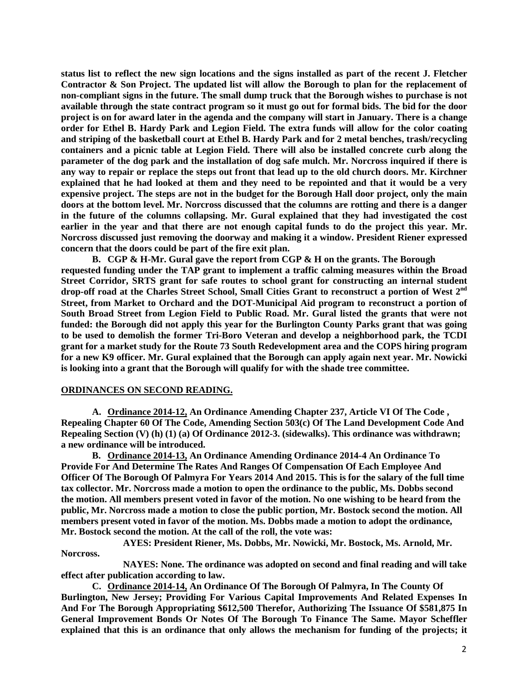**status list to reflect the new sign locations and the signs installed as part of the recent J. Fletcher Contractor & Son Project. The updated list will allow the Borough to plan for the replacement of non-compliant signs in the future. The small dump truck that the Borough wishes to purchase is not available through the state contract program so it must go out for formal bids. The bid for the door project is on for award later in the agenda and the company will start in January. There is a change order for Ethel B. Hardy Park and Legion Field. The extra funds will allow for the color coating and striping of the basketball court at Ethel B. Hardy Park and for 2 metal benches, trash/recycling containers and a picnic table at Legion Field. There will also be installed concrete curb along the parameter of the dog park and the installation of dog safe mulch. Mr. Norcross inquired if there is any way to repair or replace the steps out front that lead up to the old church doors. Mr. Kirchner explained that he had looked at them and they need to be repointed and that it would be a very expensive project. The steps are not in the budget for the Borough Hall door project, only the main doors at the bottom level. Mr. Norcross discussed that the columns are rotting and there is a danger in the future of the columns collapsing. Mr. Gural explained that they had investigated the cost earlier in the year and that there are not enough capital funds to do the project this year. Mr. Norcross discussed just removing the doorway and making it a window. President Riener expressed concern that the doors could be part of the fire exit plan.** 

**B. CGP & H-Mr. Gural gave the report from CGP & H on the grants. The Borough requested funding under the TAP grant to implement a traffic calming measures within the Broad Street Corridor, SRTS grant for safe routes to school grant for constructing an internal student drop-off road at the Charles Street School, Small Cities Grant to reconstruct a portion of West 2nd Street, from Market to Orchard and the DOT-Municipal Aid program to reconstruct a portion of South Broad Street from Legion Field to Public Road. Mr. Gural listed the grants that were not funded: the Borough did not apply this year for the Burlington County Parks grant that was going to be used to demolish the former Tri-Boro Veteran and develop a neighborhood park, the TCDI grant for a market study for the Route 73 South Redevelopment area and the COPS hiring program for a new K9 officer. Mr. Gural explained that the Borough can apply again next year. Mr. Nowicki is looking into a grant that the Borough will qualify for with the shade tree committee.** 

#### **ORDINANCES ON SECOND READING.**

**A. Ordinance 2014-12, An Ordinance Amending Chapter 237, Article VI Of The Code , Repealing Chapter 60 Of The Code, Amending Section 503(c) Of The Land Development Code And Repealing Section (V) (h) (1) (a) Of Ordinance 2012-3. (sidewalks). This ordinance was withdrawn; a new ordinance will be introduced.** 

**B. Ordinance 2014-13, An Ordinance Amending Ordinance 2014-4 An Ordinance To Provide For And Determine The Rates And Ranges Of Compensation Of Each Employee And Officer Of The Borough Of Palmyra For Years 2014 And 2015. This is for the salary of the full time tax collector. Mr. Norcross made a motion to open the ordinance to the public, Ms. Dobbs second the motion. All members present voted in favor of the motion. No one wishing to be heard from the public, Mr. Norcross made a motion to close the public portion, Mr. Bostock second the motion. All members present voted in favor of the motion. Ms. Dobbs made a motion to adopt the ordinance, Mr. Bostock second the motion. At the call of the roll, the vote was:**

**AYES: President Riener, Ms. Dobbs, Mr. Nowicki, Mr. Bostock, Ms. Arnold, Mr. Norcross.**

**NAYES: None. The ordinance was adopted on second and final reading and will take effect after publication according to law.** 

**C. Ordinance 2014-14, An Ordinance Of The Borough Of Palmyra, In The County Of Burlington, New Jersey; Providing For Various Capital Improvements And Related Expenses In And For The Borough Appropriating \$612,500 Therefor, Authorizing The Issuance Of \$581,875 In General Improvement Bonds Or Notes Of The Borough To Finance The Same. Mayor Scheffler explained that this is an ordinance that only allows the mechanism for funding of the projects; it**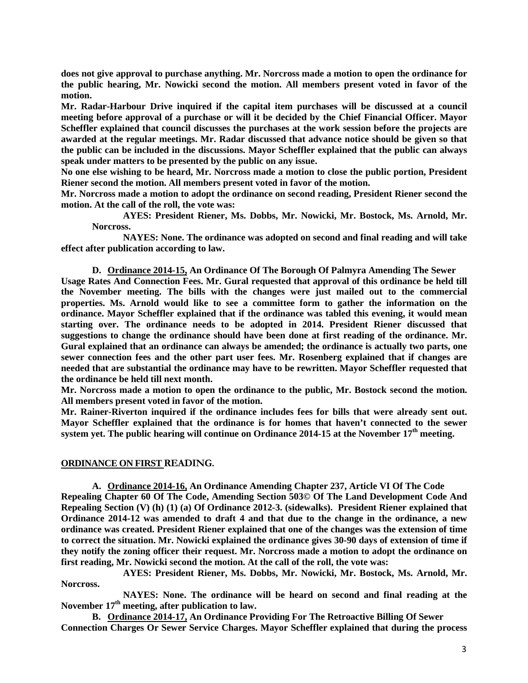**does not give approval to purchase anything. Mr. Norcross made a motion to open the ordinance for the public hearing, Mr. Nowicki second the motion. All members present voted in favor of the motion.** 

**Mr. Radar-Harbour Drive inquired if the capital item purchases will be discussed at a council meeting before approval of a purchase or will it be decided by the Chief Financial Officer. Mayor Scheffler explained that council discusses the purchases at the work session before the projects are awarded at the regular meetings. Mr. Radar discussed that advance notice should be given so that the public can be included in the discussions. Mayor Scheffler explained that the public can always speak under matters to be presented by the public on any issue.** 

**No one else wishing to be heard, Mr. Norcross made a motion to close the public portion, President Riener second the motion. All members present voted in favor of the motion.** 

**Mr. Norcross made a motion to adopt the ordinance on second reading, President Riener second the motion. At the call of the roll, the vote was:**

**AYES: President Riener, Ms. Dobbs, Mr. Nowicki, Mr. Bostock, Ms. Arnold, Mr. Norcross.**

**NAYES: None. The ordinance was adopted on second and final reading and will take effect after publication according to law.** 

**D. Ordinance 2014-15, An Ordinance Of The Borough Of Palmyra Amending The Sewer Usage Rates And Connection Fees. Mr. Gural requested that approval of this ordinance be held till the November meeting. The bills with the changes were just mailed out to the commercial properties. Ms. Arnold would like to see a committee form to gather the information on the ordinance. Mayor Scheffler explained that if the ordinance was tabled this evening, it would mean starting over. The ordinance needs to be adopted in 2014. President Riener discussed that suggestions to change the ordinance should have been done at first reading of the ordinance. Mr. Gural explained that an ordinance can always be amended; the ordinance is actually two parts, one sewer connection fees and the other part user fees. Mr. Rosenberg explained that if changes are needed that are substantial the ordinance may have to be rewritten. Mayor Scheffler requested that the ordinance be held till next month.** 

**Mr. Norcross made a motion to open the ordinance to the public, Mr. Bostock second the motion. All members present voted in favor of the motion.**

**Mr. Rainer-Riverton inquired if the ordinance includes fees for bills that were already sent out. Mayor Scheffler explained that the ordinance is for homes that haven't connected to the sewer**  system yet. The public hearing will continue on Ordinance 2014-15 at the November 17<sup>th</sup> meeting.

#### **ORDINANCE ON FIRST READING.**

**A. Ordinance 2014-16, An Ordinance Amending Chapter 237, Article VI Of The Code Repealing Chapter 60 Of The Code, Amending Section 503© Of The Land Development Code And Repealing Section (V) (h) (1) (a) Of Ordinance 2012-3. (sidewalks). President Riener explained that Ordinance 2014-12 was amended to draft 4 and that due to the change in the ordinance, a new ordinance was created. President Riener explained that one of the changes was the extension of time to correct the situation. Mr. Nowicki explained the ordinance gives 30-90 days of extension of time if they notify the zoning officer their request. Mr. Norcross made a motion to adopt the ordinance on first reading, Mr. Nowicki second the motion. At the call of the roll, the vote was:**

**AYES: President Riener, Ms. Dobbs, Mr. Nowicki, Mr. Bostock, Ms. Arnold, Mr. Norcross.**

**NAYES: None. The ordinance will be heard on second and final reading at the**  November 17<sup>th</sup> meeting, after publication to law.

**B. Ordinance 2014-17, An Ordinance Providing For The Retroactive Billing Of Sewer Connection Charges Or Sewer Service Charges. Mayor Scheffler explained that during the process**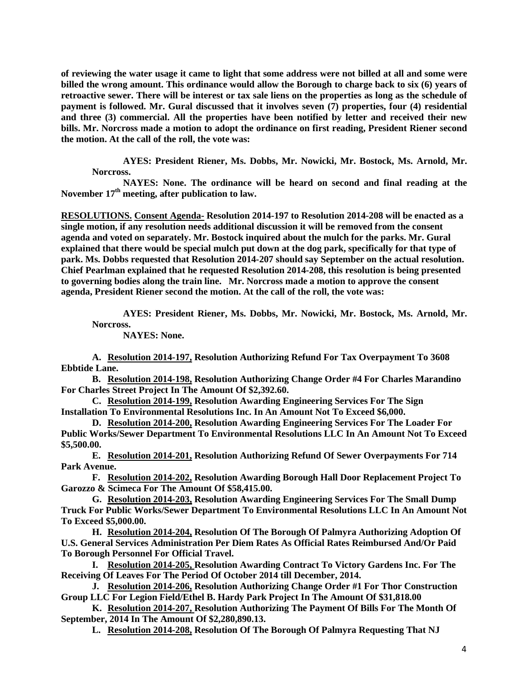**of reviewing the water usage it came to light that some address were not billed at all and some were billed the wrong amount. This ordinance would allow the Borough to charge back to six (6) years of retroactive sewer. There will be interest or tax sale liens on the properties as long as the schedule of payment is followed. Mr. Gural discussed that it involves seven (7) properties, four (4) residential and three (3) commercial. All the properties have been notified by letter and received their new bills. Mr. Norcross made a motion to adopt the ordinance on first reading, President Riener second the motion. At the call of the roll, the vote was:**

**AYES: President Riener, Ms. Dobbs, Mr. Nowicki, Mr. Bostock, Ms. Arnold, Mr. Norcross.**

**NAYES: None. The ordinance will be heard on second and final reading at the**  November 17<sup>th</sup> meeting, after publication to law.

**RESOLUTIONS. Consent Agenda- Resolution 2014-197 to Resolution 2014-208 will be enacted as a single motion, if any resolution needs additional discussion it will be removed from the consent agenda and voted on separately. Mr. Bostock inquired about the mulch for the parks. Mr. Gural explained that there would be special mulch put down at the dog park, specifically for that type of park. Ms. Dobbs requested that Resolution 2014-207 should say September on the actual resolution. Chief Pearlman explained that he requested Resolution 2014-208, this resolution is being presented to governing bodies along the train line. Mr. Norcross made a motion to approve the consent agenda, President Riener second the motion. At the call of the roll, the vote was:**

**AYES: President Riener, Ms. Dobbs, Mr. Nowicki, Mr. Bostock, Ms. Arnold, Mr. Norcross.**

**NAYES: None.**

**A. Resolution 2014-197, Resolution Authorizing Refund For Tax Overpayment To 3608 Ebbtide Lane.** 

**B. Resolution 2014-198, Resolution Authorizing Change Order #4 For Charles Marandino For Charles Street Project In The Amount Of \$2,392.60.**

**C. Resolution 2014-199, Resolution Awarding Engineering Services For The Sign Installation To Environmental Resolutions Inc. In An Amount Not To Exceed \$6,000.**

**D. Resolution 2014-200, Resolution Awarding Engineering Services For The Loader For Public Works/Sewer Department To Environmental Resolutions LLC In An Amount Not To Exceed \$5,500.00.**

**E. Resolution 2014-201, Resolution Authorizing Refund Of Sewer Overpayments For 714 Park Avenue.** 

**F. Resolution 2014-202, Resolution Awarding Borough Hall Door Replacement Project To Garozzo & Scimeca For The Amount Of \$58,415.00.**

**G. Resolution 2014-203, Resolution Awarding Engineering Services For The Small Dump Truck For Public Works/Sewer Department To Environmental Resolutions LLC In An Amount Not To Exceed \$5,000.00.**

**H. Resolution 2014-204, Resolution Of The Borough Of Palmyra Authorizing Adoption Of U.S. General Services Administration Per Diem Rates As Official Rates Reimbursed And/Or Paid To Borough Personnel For Official Travel.** 

**I. Resolution 2014-205, Resolution Awarding Contract To Victory Gardens Inc. For The Receiving Of Leaves For The Period Of October 2014 till December, 2014.**

**J. Resolution 2014-206, Resolution Authorizing Change Order #1 For Thor Construction Group LLC For Legion Field/Ethel B. Hardy Park Project In The Amount Of \$31,818.00**

**K. Resolution 2014-207, Resolution Authorizing The Payment Of Bills For The Month Of September, 2014 In The Amount Of \$2,280,890.13.**

**L. Resolution 2014-208, Resolution Of The Borough Of Palmyra Requesting That NJ**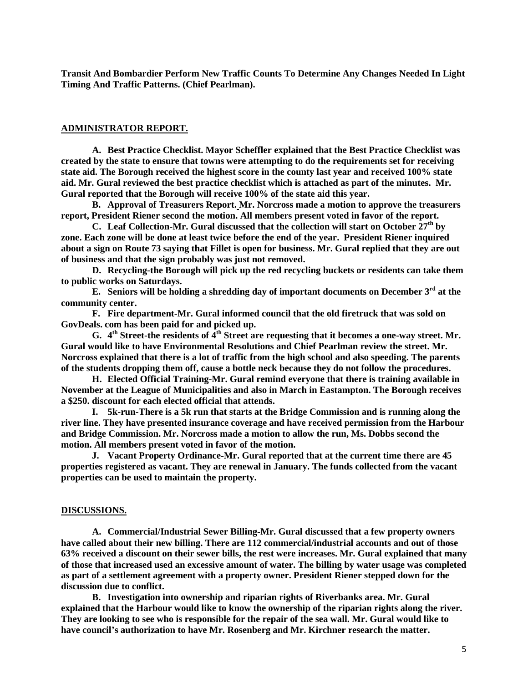**Transit And Bombardier Perform New Traffic Counts To Determine Any Changes Needed In Light Timing And Traffic Patterns. (Chief Pearlman).**

#### **ADMINISTRATOR REPORT.**

**A. Best Practice Checklist. Mayor Scheffler explained that the Best Practice Checklist was created by the state to ensure that towns were attempting to do the requirements set for receiving state aid. The Borough received the highest score in the county last year and received 100% state aid. Mr. Gural reviewed the best practice checklist which is attached as part of the minutes. Mr. Gural reported that the Borough will receive 100% of the state aid this year.**

**B. Approval of Treasurers Report. Mr. Norcross made a motion to approve the treasurers report, President Riener second the motion. All members present voted in favor of the report.** 

**C. Leaf Collection-Mr. Gural discussed that the collection will start on October 27th by zone. Each zone will be done at least twice before the end of the year. President Riener inquired about a sign on Route 73 saying that Fillet is open for business. Mr. Gural replied that they are out of business and that the sign probably was just not removed.** 

**D. Recycling-the Borough will pick up the red recycling buckets or residents can take them to public works on Saturdays.** 

**E. Seniors will be holding a shredding day of important documents on December 3rd at the community center.** 

**F. Fire department-Mr. Gural informed council that the old firetruck that was sold on GovDeals. com has been paid for and picked up.** 

**G. 4th Street-the residents of 4th Street are requesting that it becomes a one-way street. Mr. Gural would like to have Environmental Resolutions and Chief Pearlman review the street. Mr. Norcross explained that there is a lot of traffic from the high school and also speeding. The parents of the students dropping them off, cause a bottle neck because they do not follow the procedures.**

**H. Elected Official Training-Mr. Gural remind everyone that there is training available in November at the League of Municipalities and also in March in Eastampton. The Borough receives a \$250. discount for each elected official that attends.** 

**I. 5k-run-There is a 5k run that starts at the Bridge Commission and is running along the river line. They have presented insurance coverage and have received permission from the Harbour and Bridge Commission. Mr. Norcross made a motion to allow the run, Ms. Dobbs second the motion. All members present voted in favor of the motion.** 

**J. Vacant Property Ordinance-Mr. Gural reported that at the current time there are 45 properties registered as vacant. They are renewal in January. The funds collected from the vacant properties can be used to maintain the property.**

#### **DISCUSSIONS.**

**A. Commercial/Industrial Sewer Billing-Mr. Gural discussed that a few property owners have called about their new billing. There are 112 commercial/industrial accounts and out of those 63% received a discount on their sewer bills, the rest were increases. Mr. Gural explained that many of those that increased used an excessive amount of water. The billing by water usage was completed as part of a settlement agreement with a property owner. President Riener stepped down for the discussion due to conflict.** 

**B. Investigation into ownership and riparian rights of Riverbanks area. Mr. Gural explained that the Harbour would like to know the ownership of the riparian rights along the river. They are looking to see who is responsible for the repair of the sea wall. Mr. Gural would like to have council's authorization to have Mr. Rosenberg and Mr. Kirchner research the matter.**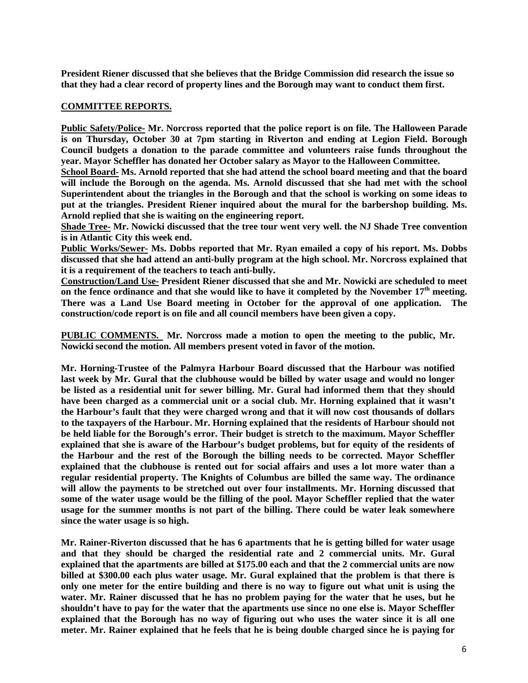**President Riener discussed that she believes that the Bridge Commission did research the issue so that they had a clear record of property lines and the Borough may want to conduct them first.** 

## **COMMITTEE REPORTS.**

**Public Safety/Police- Mr. Norcross reported that the police report is on file. The Halloween Parade is on Thursday, October 30 at 7pm starting in Riverton and ending at Legion Field. Borough Council budgets a donation to the parade committee and volunteers raise funds throughout the year. Mayor Scheffler has donated her October salary as Mayor to the Halloween Committee.** 

**School Board- Ms. Arnold reported that she had attend the school board meeting and that the board will include the Borough on the agenda. Ms. Arnold discussed that she had met with the school Superintendent about the triangles in the Borough and that the school is working on some ideas to put at the triangles. President Riener inquired about the mural for the barbershop building. Ms. Arnold replied that she is waiting on the engineering report.** 

**Shade Tree- Mr. Nowicki discussed that the tree tour went very well. the NJ Shade Tree convention is in Atlantic City this week end.** 

**Public Works/Sewer- Ms. Dobbs reported that Mr. Ryan emailed a copy of his report. Ms. Dobbs discussed that she had attend an anti-bully program at the high school. Mr. Norcross explained that it is a requirement of the teachers to teach anti-bully.** 

**Construction/Land Use- President Riener discussed that she and Mr. Nowicki are scheduled to meet on the fence ordinance and that she would like to have it completed by the November 17th meeting. There was a Land Use Board meeting in October for the approval of one application. The construction/code report is on file and all council members have been given a copy.** 

**PUBLIC COMMENTS. Mr. Norcross made a motion to open the meeting to the public, Mr. Nowicki second the motion. All members present voted in favor of the motion.**

**Mr. Horning-Trustee of the Palmyra Harbour Board discussed that the Harbour was notified last week by Mr. Gural that the clubhouse would be billed by water usage and would no longer be listed as a residential unit for sewer billing. Mr. Gural had informed them that they should have been charged as a commercial unit or a social club. Mr. Horning explained that it wasn't the Harbour's fault that they were charged wrong and that it will now cost thousands of dollars to the taxpayers of the Harbour. Mr. Horning explained that the residents of Harbour should not be held liable for the Borough's error. Their budget is stretch to the maximum. Mayor Scheffler explained that she is aware of the Harbour's budget problems, but for equity of the residents of the Harbour and the rest of the Borough the billing needs to be corrected. Mayor Scheffler explained that the clubhouse is rented out for social affairs and uses a lot more water than a regular residential property. The Knights of Columbus are billed the same way. The ordinance will allow the payments to be stretched out over four installments. Mr. Horning discussed that some of the water usage would be the filling of the pool. Mayor Scheffler replied that the water usage for the summer months is not part of the billing. There could be water leak somewhere since the water usage is so high.** 

**Mr. Rainer-Riverton discussed that he has 6 apartments that he is getting billed for water usage and that they should be charged the residential rate and 2 commercial units. Mr. Gural explained that the apartments are billed at \$175.00 each and that the 2 commercial units are now billed at \$300.00 each plus water usage. Mr. Gural explained that the problem is that there is only one meter for the entire building and there is no way to figure out what unit is using the water. Mr. Rainer discussed that he has no problem paying for the water that he uses, but he shouldn't have to pay for the water that the apartments use since no one else is. Mayor Scheffler explained that the Borough has no way of figuring out who uses the water since it is all one meter. Mr. Rainer explained that he feels that he is being double charged since he is paying for**